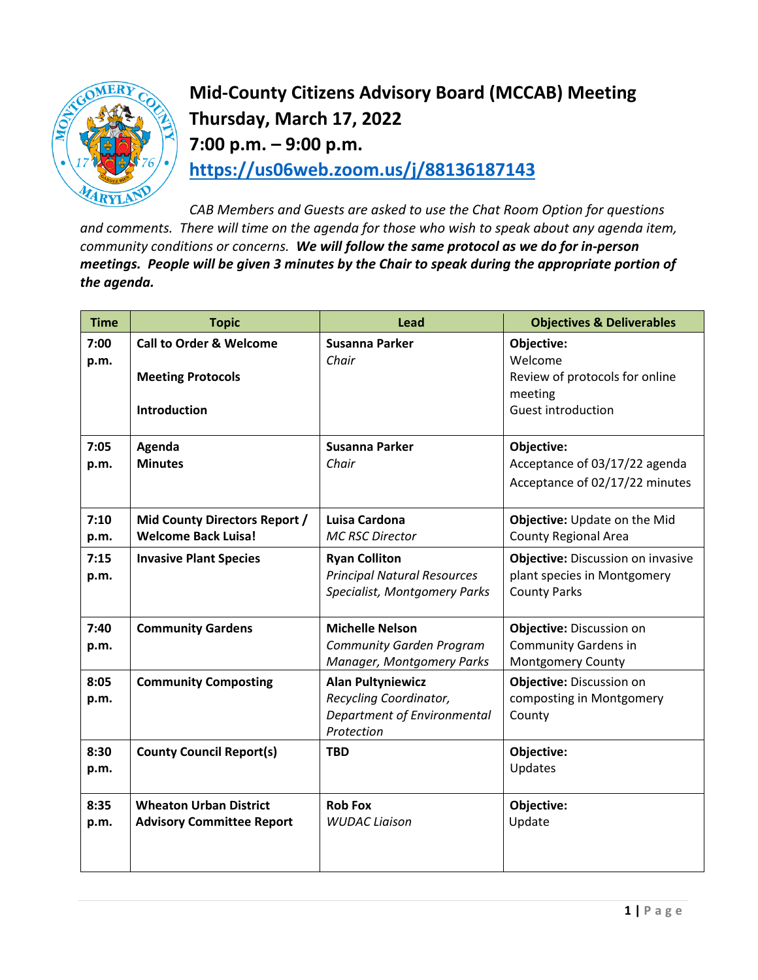

## **Mid-County Citizens Advisory Board (MCCAB) Meeting Thursday, March 17, 2022 7:00 p.m. – 9:00 p.m. <https://us06web.zoom.us/j/88136187143>**

*CAB Members and Guests are asked to use the Chat Room Option for questions and comments. There will time on the agenda for those who wish to speak about any agenda item, community conditions or concerns. We will follow the same protocol as we do for in-person meetings. People will be given 3 minutes by the Chair to speak during the appropriate portion of the agenda.* 

| <b>Time</b>  | <b>Topic</b>                       | Lead                                                                                       | <b>Objectives &amp; Deliverables</b>                                                           |
|--------------|------------------------------------|--------------------------------------------------------------------------------------------|------------------------------------------------------------------------------------------------|
| 7:00<br>p.m. | <b>Call to Order &amp; Welcome</b> | Susanna Parker<br>Chair                                                                    | Objective:<br>Welcome                                                                          |
|              | <b>Meeting Protocols</b>           |                                                                                            | Review of protocols for online<br>meeting                                                      |
|              | Introduction                       |                                                                                            | Guest introduction                                                                             |
| 7:05         | Agenda                             | Susanna Parker                                                                             | Objective:                                                                                     |
| p.m.         | <b>Minutes</b>                     | Chair                                                                                      | Acceptance of 03/17/22 agenda                                                                  |
|              |                                    |                                                                                            | Acceptance of 02/17/22 minutes                                                                 |
| 7:10         | Mid County Directors Report /      | Luisa Cardona                                                                              | Objective: Update on the Mid                                                                   |
| p.m.         | <b>Welcome Back Luisa!</b>         | <b>MC RSC Director</b>                                                                     | <b>County Regional Area</b>                                                                    |
| 7:15<br>p.m. | <b>Invasive Plant Species</b>      | <b>Ryan Colliton</b><br><b>Principal Natural Resources</b><br>Specialist, Montgomery Parks | <b>Objective: Discussion on invasive</b><br>plant species in Montgomery<br><b>County Parks</b> |
| 7:40         | <b>Community Gardens</b>           | <b>Michelle Nelson</b>                                                                     | Objective: Discussion on                                                                       |
| p.m.         |                                    | <b>Community Garden Program</b>                                                            | <b>Community Gardens in</b>                                                                    |
|              |                                    | Manager, Montgomery Parks                                                                  | Montgomery County                                                                              |
| 8:05         | <b>Community Composting</b>        | <b>Alan Pultyniewicz</b>                                                                   | Objective: Discussion on                                                                       |
| p.m.         |                                    | Recycling Coordinator,                                                                     | composting in Montgomery                                                                       |
|              |                                    | Department of Environmental<br>Protection                                                  | County                                                                                         |
| 8:30         | <b>County Council Report(s)</b>    | <b>TBD</b>                                                                                 | Objective:                                                                                     |
| p.m.         |                                    |                                                                                            | Updates                                                                                        |
| 8:35         | <b>Wheaton Urban District</b>      | <b>Rob Fox</b>                                                                             | Objective:                                                                                     |
| p.m.         | <b>Advisory Committee Report</b>   | <b>WUDAC Liaison</b>                                                                       | Update                                                                                         |
|              |                                    |                                                                                            |                                                                                                |